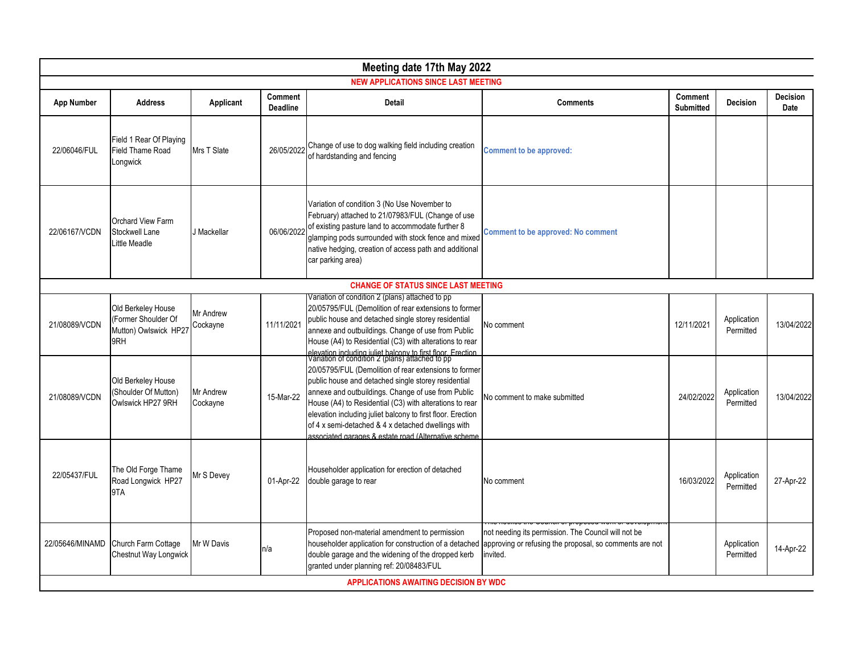| Meeting date 17th May 2022                   |                                                                           |                       |                            |                                                                                                                                                                                                                                                                                                                                                                                                                                                                                                                               |                                                                                                                            |                             |                          |                         |  |
|----------------------------------------------|---------------------------------------------------------------------------|-----------------------|----------------------------|-------------------------------------------------------------------------------------------------------------------------------------------------------------------------------------------------------------------------------------------------------------------------------------------------------------------------------------------------------------------------------------------------------------------------------------------------------------------------------------------------------------------------------|----------------------------------------------------------------------------------------------------------------------------|-----------------------------|--------------------------|-------------------------|--|
| <b>NEW APPLICATIONS SINCE LAST MEETING</b>   |                                                                           |                       |                            |                                                                                                                                                                                                                                                                                                                                                                                                                                                                                                                               |                                                                                                                            |                             |                          |                         |  |
| <b>App Number</b>                            | <b>Address</b>                                                            | Applicant             | Comment<br><b>Deadline</b> | Detail                                                                                                                                                                                                                                                                                                                                                                                                                                                                                                                        | <b>Comments</b>                                                                                                            | Comment<br><b>Submitted</b> | <b>Decision</b>          | <b>Decision</b><br>Date |  |
| 22/06046/FUL                                 | Field 1 Rear Of Playing<br><b>Field Thame Road</b><br>Longwick            | Mrs T Slate           | 26/05/2022                 | Change of use to dog walking field including creation<br>of hardstanding and fencing                                                                                                                                                                                                                                                                                                                                                                                                                                          | <b>Comment to be approved:</b>                                                                                             |                             |                          |                         |  |
| 22/06167/VCDN                                | <b>Orchard View Farm</b><br>Stockwell Lane<br>Little Meadle               | J Mackellar           | 06/06/202                  | Variation of condition 3 (No Use November to<br>February) attached to 21/07983/FUL (Change of use<br>of existing pasture land to accommodate further 8<br>glamping pods surrounded with stock fence and mixed<br>native hedging, creation of access path and additional<br>car parking area)                                                                                                                                                                                                                                  | <b>Comment to be approved: No comment</b>                                                                                  |                             |                          |                         |  |
|                                              |                                                                           |                       |                            | <b>CHANGE OF STATUS SINCE LAST MEETING</b>                                                                                                                                                                                                                                                                                                                                                                                                                                                                                    |                                                                                                                            |                             |                          |                         |  |
| 21/08089/VCDN                                | Old Berkeley House<br>(Former Shoulder Of<br>Mutton) Owlswick HP27<br>9RH | Mr Andrew<br>Cockayne | 11/11/2021                 | Variation of condition 2 (plans) attached to pp<br>20/05795/FUL (Demolition of rear extensions to former<br>public house and detached single storey residential<br>annexe and outbuildings. Change of use from Public<br>House (A4) to Residential (C3) with alterations to rear                                                                                                                                                                                                                                              | No comment                                                                                                                 | 12/11/2021                  | Application<br>Permitted | 13/04/2022              |  |
| 21/08089/VCDN                                | Old Berkeley House<br>(Shoulder Of Mutton)<br>Owlswick HP27 9RH           | Mr Andrew<br>Cockayne | 15-Mar-22                  | elevation including juliet balcony to first floor. Frection.<br>Variation of condition 2 (plans) attached to pp<br>20/05795/FUL (Demolition of rear extensions to former<br>public house and detached single storey residential<br>annexe and outbuildings. Change of use from Public<br>House (A4) to Residential (C3) with alterations to rear<br>elevation including juliet balcony to first floor. Erection<br>of 4 x semi-detached & 4 x detached dwellings with<br>associated garages & estate road (Alternative scheme | No comment to make submitted                                                                                               | 24/02/2022                  | Application<br>Permitted | 13/04/2022              |  |
| 22/05437/FUL                                 | The Old Forge Thame<br>Road Longwick HP27<br>9TA                          | Mr S Devey            | 01-Apr-22                  | Householder application for erection of detached<br>double garage to rear                                                                                                                                                                                                                                                                                                                                                                                                                                                     | No comment                                                                                                                 | 16/03/2022                  | Application<br>Permitted | 27-Apr-22               |  |
| 22/05646/MINAMD                              | Church Farm Cottage<br>Chestnut Way Longwick                              | Mr W Davis            | n/a                        | Proposed non-material amendment to permission<br>householder application for construction of a detached<br>double garage and the widening of the dropped kerb<br>granted under planning ref: 20/08483/FUL                                                                                                                                                                                                                                                                                                                     | not needing its permission. The Council will not be<br>approving or refusing the proposal, so comments are not<br>invited. |                             | Application<br>Permitted | 14-Apr-22               |  |
| <b>APPLICATIONS AWAITING DECISION BY WDC</b> |                                                                           |                       |                            |                                                                                                                                                                                                                                                                                                                                                                                                                                                                                                                               |                                                                                                                            |                             |                          |                         |  |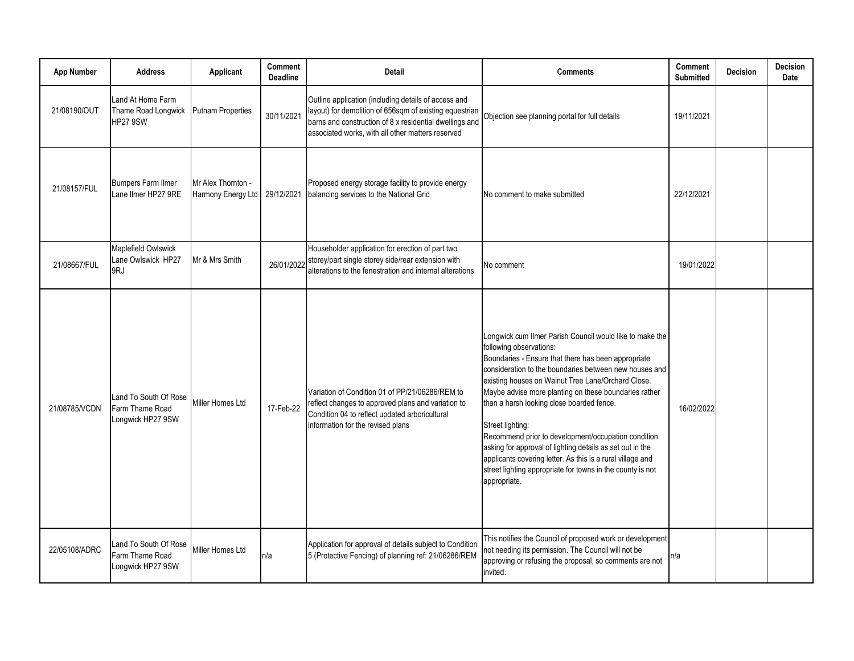| <b>App Number</b> | <b>Address</b>                                                | Applicant                                | Comment<br><b>Deadline</b> | <b>Detail</b>                                                                                                                                                                                                                   | <b>Comments</b>                                                                                                                                                                                                                                                                                                                                                                                                                                                                                                                                                                                                                                      | Comment<br><b>Submitted</b> | <b>Decision</b> | <b>Decision</b><br>Date |
|-------------------|---------------------------------------------------------------|------------------------------------------|----------------------------|---------------------------------------------------------------------------------------------------------------------------------------------------------------------------------------------------------------------------------|------------------------------------------------------------------------------------------------------------------------------------------------------------------------------------------------------------------------------------------------------------------------------------------------------------------------------------------------------------------------------------------------------------------------------------------------------------------------------------------------------------------------------------------------------------------------------------------------------------------------------------------------------|-----------------------------|-----------------|-------------------------|
| 21/08190/OUT      | Land At Home Farm<br>Thame Road Longwick<br><b>HP27 9SW</b>   | <b>Putnam Properties</b>                 | 30/11/2021                 | Outline application (including details of access and<br>layout) for demolition of 656sqm of existing equestrian<br>barns and construction of 8 x residential dwellings and<br>associated works, with all other matters reserved | Objection see planning portal for full details                                                                                                                                                                                                                                                                                                                                                                                                                                                                                                                                                                                                       | 19/11/2021                  |                 |                         |
| 21/08157/FUL      | <b>Bumpers Farm Ilmer</b><br>Lane Ilmer HP27 9RE              | Mr Alex Thornton -<br>Harmony Energy Ltd | 29/12/2021                 | Proposed energy storage facility to provide energy<br>balancing services to the National Grid                                                                                                                                   | No comment to make submitted                                                                                                                                                                                                                                                                                                                                                                                                                                                                                                                                                                                                                         | 22/12/2021                  |                 |                         |
| 21/08667/FUL      | Maplefield Owlswick<br>Lane Owlswick HP27<br>9RJ              | Mr & Mrs Smith                           | 26/01/202                  | Householder application for erection of part two<br>storey/part single storey side/rear extension with<br>alterations to the fenestration and internal alterations                                                              | No comment                                                                                                                                                                                                                                                                                                                                                                                                                                                                                                                                                                                                                                           | 19/01/2022                  |                 |                         |
| 21/08785/VCDN     | Land To South Of Rose<br>Farm Thame Road<br>Longwick HP27 9SW | Miller Homes Ltd                         | 17-Feb-22                  | Variation of Condition 01 of PP/21/06286/REM to<br>reflect changes to approved plans and variation to<br>Condition 04 to reflect updated arboricultural<br>information for the revised plans                                    | Longwick cum Ilmer Parish Council would like to make the<br>following observations:<br>Boundaries - Ensure that there has been appropriate<br>consideration to the boundaries between new houses and<br>existing houses on Walnut Tree Lane/Orchard Close.<br>Maybe advise more planting on these boundaries rather<br>than a harsh looking close boarded fence.<br>Street lighting:<br>Recommend prior to development/occupation condition<br>asking for approval of lighting details as set out in the<br>applicants covering letter. As this is a rural village and<br>street lighting appropriate for towns in the county is not<br>appropriate. | 16/02/2022                  |                 |                         |
| 22/05108/ADRC     | Land To South Of Rose<br>Farm Thame Road<br>Longwick HP27 9SW | Miller Homes Ltd                         | n/a                        | Application for approval of details subject to Condition<br>5 (Protective Fencing) of planning ref: 21/06286/REM                                                                                                                | This notifies the Council of proposed work or development<br>not needing its permission. The Council will not be<br>approving or refusing the proposal, so comments are not<br>invited.                                                                                                                                                                                                                                                                                                                                                                                                                                                              | n/a                         |                 |                         |